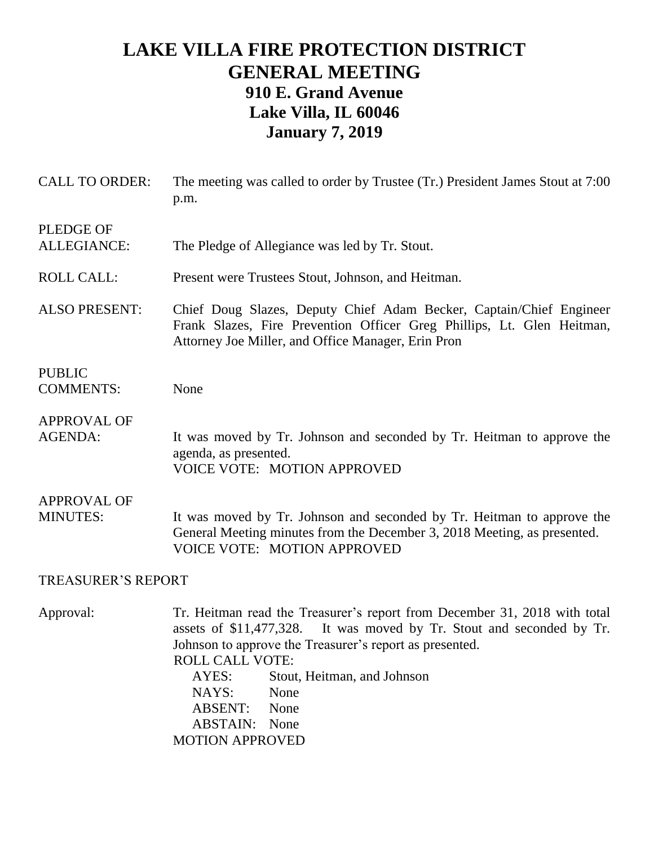## **LAKE VILLA FIRE PROTECTION DISTRICT GENERAL MEETING 910 E. Grand Avenue Lake Villa, IL 60046 January 7, 2019**

| <b>CALL TO ORDER:</b>                  | The meeting was called to order by Trustee (Tr.) President James Stout at 7:00<br>p.m.                                                                                                                                                                                                                                                                                             |  |  |
|----------------------------------------|------------------------------------------------------------------------------------------------------------------------------------------------------------------------------------------------------------------------------------------------------------------------------------------------------------------------------------------------------------------------------------|--|--|
| <b>PLEDGE OF</b><br><b>ALLEGIANCE:</b> | The Pledge of Allegiance was led by Tr. Stout.                                                                                                                                                                                                                                                                                                                                     |  |  |
| <b>ROLL CALL:</b>                      | Present were Trustees Stout, Johnson, and Heitman.                                                                                                                                                                                                                                                                                                                                 |  |  |
| <b>ALSO PRESENT:</b>                   | Chief Doug Slazes, Deputy Chief Adam Becker, Captain/Chief Engineer<br>Frank Slazes, Fire Prevention Officer Greg Phillips, Lt. Glen Heitman,<br>Attorney Joe Miller, and Office Manager, Erin Pron                                                                                                                                                                                |  |  |
| <b>PUBLIC</b><br><b>COMMENTS:</b>      | None                                                                                                                                                                                                                                                                                                                                                                               |  |  |
| <b>APPROVAL OF</b><br><b>AGENDA:</b>   | It was moved by Tr. Johnson and seconded by Tr. Heitman to approve the<br>agenda, as presented.<br><b>VOICE VOTE: MOTION APPROVED</b>                                                                                                                                                                                                                                              |  |  |
| <b>APPROVAL OF</b><br><b>MINUTES:</b>  | It was moved by Tr. Johnson and seconded by Tr. Heitman to approve the<br>General Meeting minutes from the December 3, 2018 Meeting, as presented.<br><b>VOICE VOTE: MOTION APPROVED</b>                                                                                                                                                                                           |  |  |
| <b>TREASURER'S REPORT</b>              |                                                                                                                                                                                                                                                                                                                                                                                    |  |  |
| Approval:                              | Tr. Heitman read the Treasurer's report from December 31, 2018 with total<br>It was moved by Tr. Stout and seconded by Tr.<br>assets of \$11,477,328.<br>Johnson to approve the Treasurer's report as presented.<br><b>ROLL CALL VOTE:</b><br>AYES:<br>Stout, Heitman, and Johnson<br>NAYS:<br>None<br><b>ABSENT:</b><br>None<br><b>ABSTAIN:</b><br>None<br><b>MOTION APPROVED</b> |  |  |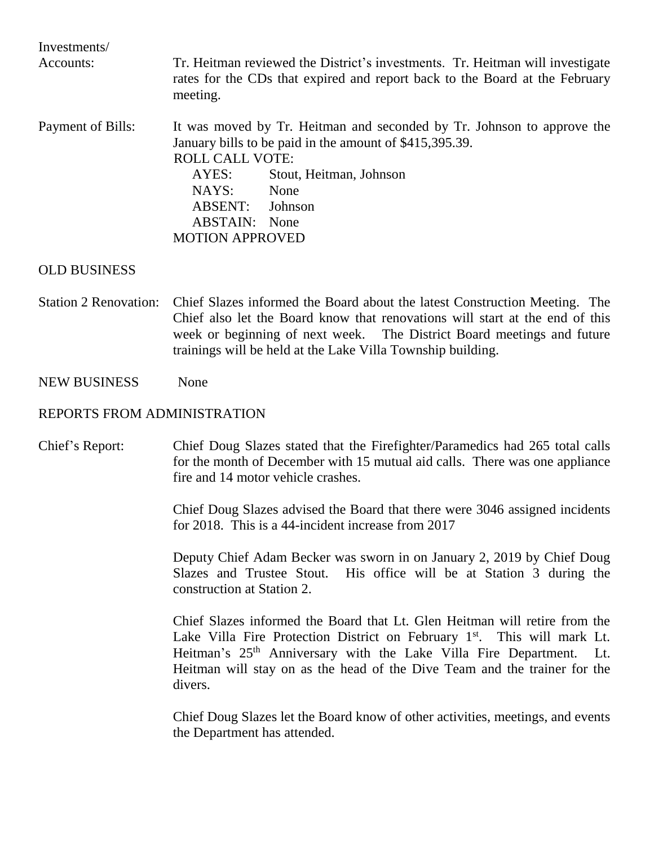| Investments/<br>Accounts: | Tr. Heitman reviewed the District's investments. Tr. Heitman will investigate<br>rates for the CDs that expired and report back to the Board at the February<br>meeting. |                         |  |
|---------------------------|--------------------------------------------------------------------------------------------------------------------------------------------------------------------------|-------------------------|--|
| Payment of Bills:         | It was moved by Tr. Heitman and seconded by Tr. Johnson to approve the<br>January bills to be paid in the amount of \$415,395.39.<br><b>ROLL CALL VOTE:</b>              |                         |  |
|                           | AYES:                                                                                                                                                                    | Stout, Heitman, Johnson |  |
|                           | NAYS:                                                                                                                                                                    | None                    |  |
|                           | <b>ABSENT:</b>                                                                                                                                                           | Johnson                 |  |
|                           | <b>ABSTAIN:</b> None                                                                                                                                                     |                         |  |
|                           | <b>MOTION APPROVED</b>                                                                                                                                                   |                         |  |

## OLD BUSINESS

Station 2 Renovation: Chief Slazes informed the Board about the latest Construction Meeting. The Chief also let the Board know that renovations will start at the end of this week or beginning of next week. The District Board meetings and future trainings will be held at the Lake Villa Township building.

## NEW BUSINESS None

## REPORTS FROM ADMINISTRATION

Chief's Report: Chief Doug Slazes stated that the Firefighter/Paramedics had 265 total calls for the month of December with 15 mutual aid calls. There was one appliance fire and 14 motor vehicle crashes.

> Chief Doug Slazes advised the Board that there were 3046 assigned incidents for 2018. This is a 44-incident increase from 2017

> Deputy Chief Adam Becker was sworn in on January 2, 2019 by Chief Doug Slazes and Trustee Stout. His office will be at Station 3 during the construction at Station 2.

> Chief Slazes informed the Board that Lt. Glen Heitman will retire from the Lake Villa Fire Protection District on February  $1<sup>st</sup>$ . This will mark Lt. Heitman's  $25<sup>th</sup>$  Anniversary with the Lake Villa Fire Department. Lt. Heitman will stay on as the head of the Dive Team and the trainer for the divers.

> Chief Doug Slazes let the Board know of other activities, meetings, and events the Department has attended.